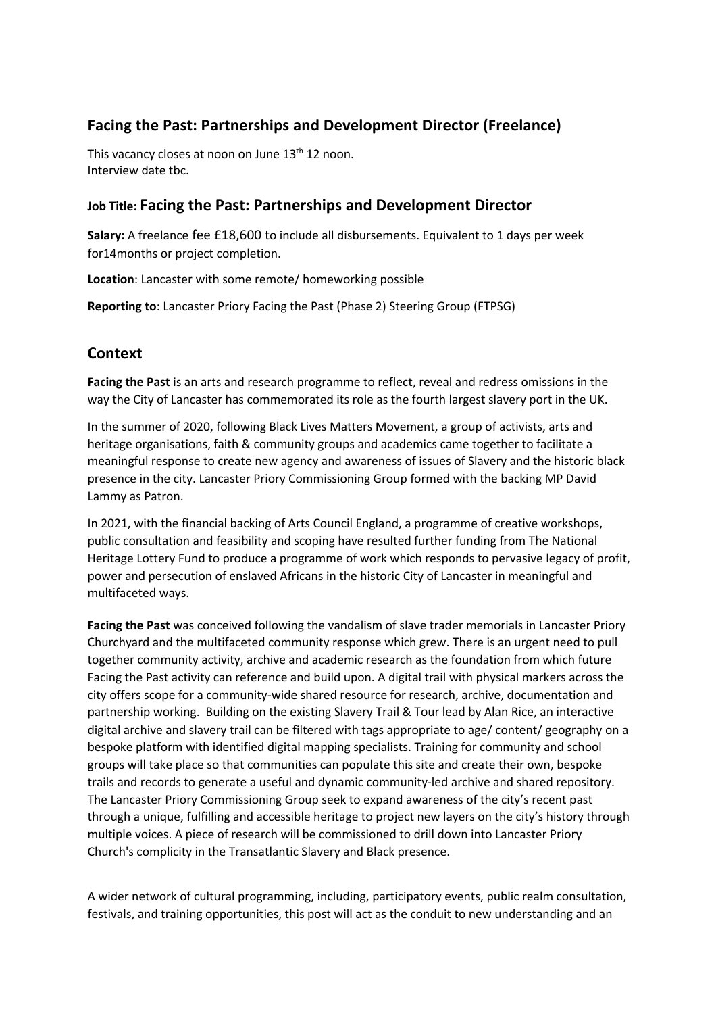# **Facing the Past: Partnerships and Development Director (Freelance)**

This vacancy closes at noon on June 13<sup>th</sup> 12 noon. Interview date tbc.

## **Job Title: Facing the Past: Partnerships and Development Director**

**Salary:** A freelance fee £18,600 to include all disbursements. Equivalent to 1 days per week for14months or project completion.

**Location**: Lancaster with some remote/ homeworking possible

**Reporting to**: Lancaster Priory Facing the Past (Phase 2) Steering Group (FTPSG)

## **Context**

**Facing the Past** is an arts and research programme to reflect, reveal and redress omissions in the way the City of Lancaster has commemorated its role as the fourth largest slavery port in the UK.

In the summer of 2020, following Black Lives Matters Movement, a group of activists, arts and heritage organisations, faith & community groups and academics came together to facilitate a meaningful response to create new agency and awareness of issues of Slavery and the historic black presence in the city. Lancaster Priory Commissioning Group formed with the backing MP David Lammy as Patron.

In 2021, with the financial backing of Arts Council England, a programme of creative workshops, public consultation and feasibility and scoping have resulted further funding from The National Heritage Lottery Fund to produce a programme of work which responds to pervasive legacy of profit, power and persecution of enslaved Africans in the historic City of Lancaster in meaningful and multifaceted ways.

**Facing the Past** was conceived following the vandalism of slave trader memorials in Lancaster Priory Churchyard and the multifaceted community response which grew. There is an urgent need to pull together community activity, archive and academic research as the foundation from which future Facing the Past activity can reference and build upon. A digital trail with physical markers across the city offers scope for a community-wide shared resource for research, archive, documentation and partnership working. Building on the existing Slavery Trail & Tour lead by Alan Rice, an interactive digital archive and slavery trail can be filtered with tags appropriate to age/ content/ geography on a bespoke platform with identified digital mapping specialists. Training for community and school groups will take place so that communities can populate this site and create their own, bespoke trails and records to generate a useful and dynamic community-led archive and shared repository. The Lancaster Priory Commissioning Group seek to expand awareness of the city's recent past through a unique, fulfilling and accessible heritage to project new layers on the city's history through multiple voices. A piece of research will be commissioned to drill down into Lancaster Priory Church's complicity in the Transatlantic Slavery and Black presence.

A wider network of cultural programming, including, participatory events, public realm consultation, festivals, and training opportunities, this post will act as the conduit to new understanding and an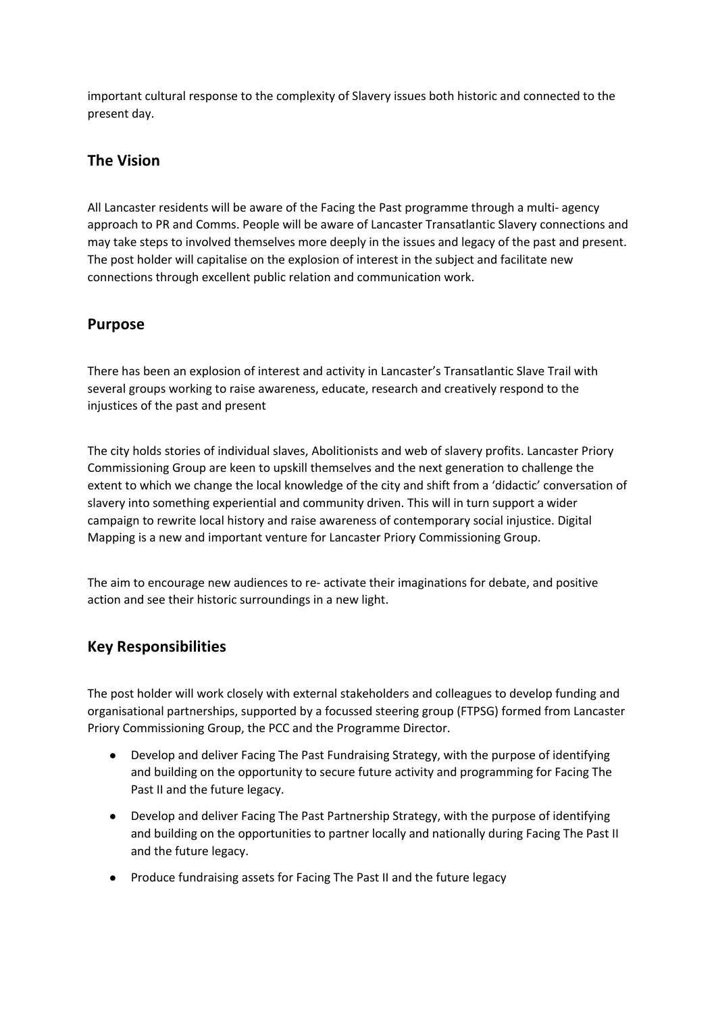important cultural response to the complexity of Slavery issues both historic and connected to the present day.

## **The Vision**

All Lancaster residents will be aware of the Facing the Past programme through a multi- agency approach to PR and Comms. People will be aware of Lancaster Transatlantic Slavery connections and may take steps to involved themselves more deeply in the issues and legacy of the past and present. The post holder will capitalise on the explosion of interest in the subject and facilitate new connections through excellent public relation and communication work.

### **Purpose**

There has been an explosion of interest and activity in Lancaster's Transatlantic Slave Trail with several groups working to raise awareness, educate, research and creatively respond to the injustices of the past and present

The city holds stories of individual slaves, Abolitionists and web of slavery profits. Lancaster Priory Commissioning Group are keen to upskill themselves and the next generation to challenge the extent to which we change the local knowledge of the city and shift from a 'didactic' conversation of slavery into something experiential and community driven. This will in turn support a wider campaign to rewrite local history and raise awareness of contemporary social injustice. Digital Mapping is a new and important venture for Lancaster Priory Commissioning Group.

The aim to encourage new audiences to re- activate their imaginations for debate, and positive action and see their historic surroundings in a new light.

## **Key Responsibilities**

The post holder will work closely with external stakeholders and colleagues to develop funding and organisational partnerships, supported by a focussed steering group (FTPSG) formed from Lancaster Priory Commissioning Group, the PCC and the Programme Director.

- Develop and deliver Facing The Past Fundraising Strategy, with the purpose of identifying and building on the opportunity to secure future activity and programming for Facing The Past II and the future legacy.
- Develop and deliver Facing The Past Partnership Strategy, with the purpose of identifying and building on the opportunities to partner locally and nationally during Facing The Past II and the future legacy.
- Produce fundraising assets for Facing The Past II and the future legacy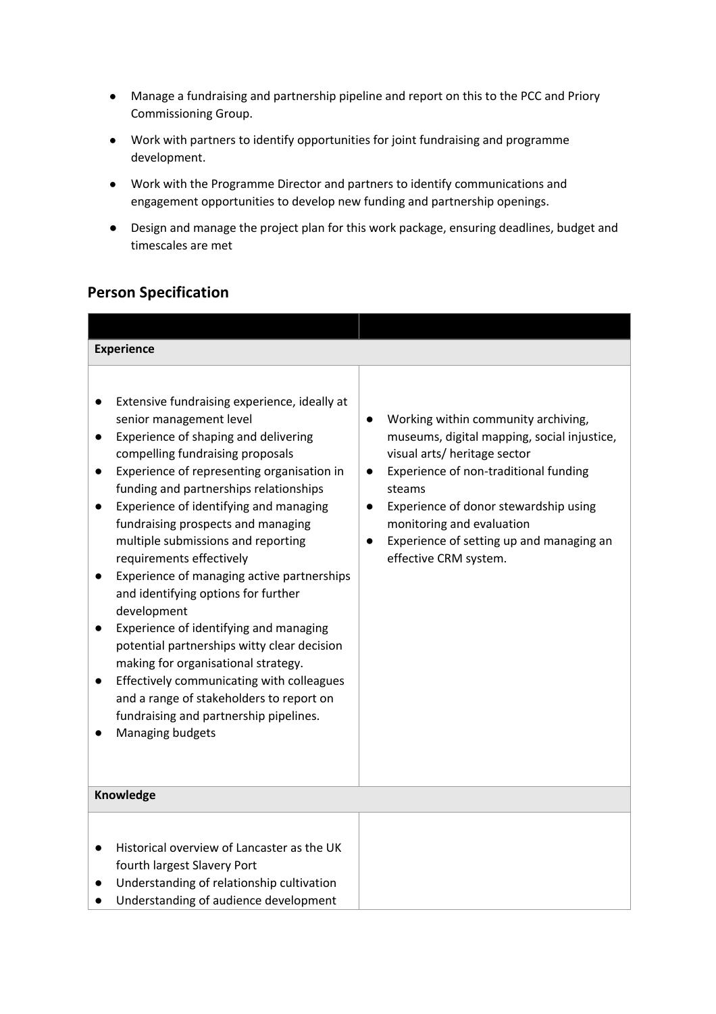- Manage a fundraising and partnership pipeline and report on this to the PCC and Priory Commissioning Group.
- Work with partners to identify opportunities for joint fundraising and programme development.
- Work with the Programme Director and partners to identify communications and engagement opportunities to develop new funding and partnership openings.
- Design and manage the project plan for this work package, ensuring deadlines, budget and timescales are met

# **Person Specification**

| <b>Experience</b>                                                                                                                                                                                                                                                                                                                                                                                                                                                                                                                                                                                                                                                                                                                                                                        |                                                                                                                                                                                                                                                                                                                                                         |
|------------------------------------------------------------------------------------------------------------------------------------------------------------------------------------------------------------------------------------------------------------------------------------------------------------------------------------------------------------------------------------------------------------------------------------------------------------------------------------------------------------------------------------------------------------------------------------------------------------------------------------------------------------------------------------------------------------------------------------------------------------------------------------------|---------------------------------------------------------------------------------------------------------------------------------------------------------------------------------------------------------------------------------------------------------------------------------------------------------------------------------------------------------|
| Extensive fundraising experience, ideally at<br>senior management level<br>Experience of shaping and delivering<br>compelling fundraising proposals<br>Experience of representing organisation in<br>funding and partnerships relationships<br>Experience of identifying and managing<br>fundraising prospects and managing<br>multiple submissions and reporting<br>requirements effectively<br>Experience of managing active partnerships<br>and identifying options for further<br>development<br>Experience of identifying and managing<br>potential partnerships witty clear decision<br>making for organisational strategy.<br>Effectively communicating with colleagues<br>and a range of stakeholders to report on<br>fundraising and partnership pipelines.<br>Managing budgets | Working within community archiving,<br>$\bullet$<br>museums, digital mapping, social injustice,<br>visual arts/ heritage sector<br>Experience of non-traditional funding<br>$\bullet$<br>steams<br>Experience of donor stewardship using<br>$\bullet$<br>monitoring and evaluation<br>Experience of setting up and managing an<br>effective CRM system. |
| Knowledge                                                                                                                                                                                                                                                                                                                                                                                                                                                                                                                                                                                                                                                                                                                                                                                |                                                                                                                                                                                                                                                                                                                                                         |
| Historical overview of Lancaster as the UK<br>fourth largest Slavery Port<br>Understanding of relationship cultivation<br>Understanding of audience development                                                                                                                                                                                                                                                                                                                                                                                                                                                                                                                                                                                                                          |                                                                                                                                                                                                                                                                                                                                                         |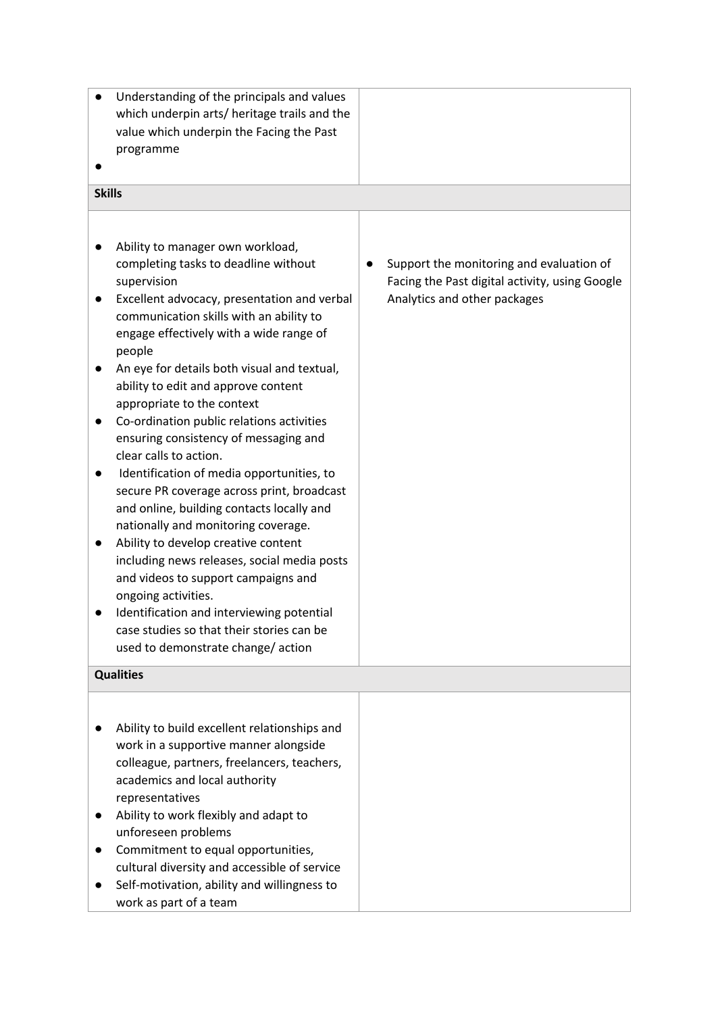| Understanding of the principals and values<br>which underpin arts/ heritage trails and the<br>value which underpin the Facing the Past<br>programme                                                                                                                                                                                                                                                                                                                                                                                                                                                                                                                                                                                                                                                                                                                                                                                          |                                                                                                                            |
|----------------------------------------------------------------------------------------------------------------------------------------------------------------------------------------------------------------------------------------------------------------------------------------------------------------------------------------------------------------------------------------------------------------------------------------------------------------------------------------------------------------------------------------------------------------------------------------------------------------------------------------------------------------------------------------------------------------------------------------------------------------------------------------------------------------------------------------------------------------------------------------------------------------------------------------------|----------------------------------------------------------------------------------------------------------------------------|
| <b>Skills</b>                                                                                                                                                                                                                                                                                                                                                                                                                                                                                                                                                                                                                                                                                                                                                                                                                                                                                                                                |                                                                                                                            |
| Ability to manager own workload,<br>completing tasks to deadline without<br>supervision<br>Excellent advocacy, presentation and verbal<br>communication skills with an ability to<br>engage effectively with a wide range of<br>people<br>An eye for details both visual and textual,<br>ability to edit and approve content<br>appropriate to the context<br>Co-ordination public relations activities<br>ensuring consistency of messaging and<br>clear calls to action.<br>Identification of media opportunities, to<br>secure PR coverage across print, broadcast<br>and online, building contacts locally and<br>nationally and monitoring coverage.<br>Ability to develop creative content<br>including news releases, social media posts<br>and videos to support campaigns and<br>ongoing activities.<br>Identification and interviewing potential<br>case studies so that their stories can be<br>used to demonstrate change/action | Support the monitoring and evaluation of<br>Facing the Past digital activity, using Google<br>Analytics and other packages |
| <b>Qualities</b>                                                                                                                                                                                                                                                                                                                                                                                                                                                                                                                                                                                                                                                                                                                                                                                                                                                                                                                             |                                                                                                                            |
| Ability to build excellent relationships and<br>work in a supportive manner alongside<br>colleague, partners, freelancers, teachers,<br>academics and local authority<br>representatives<br>Ability to work flexibly and adapt to<br>unforeseen problems<br>Commitment to equal opportunities,<br>cultural diversity and accessible of service<br>Self-motivation, ability and willingness to<br>work as part of a team                                                                                                                                                                                                                                                                                                                                                                                                                                                                                                                      |                                                                                                                            |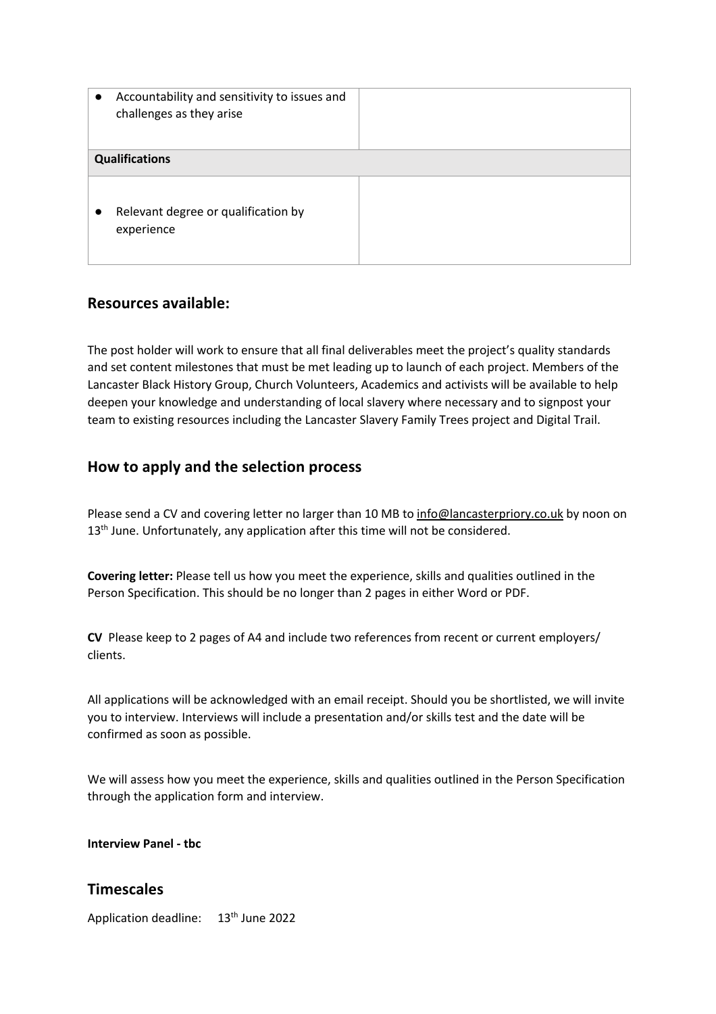| Accountability and sensitivity to issues and<br>$\bullet$<br>challenges as they arise |  |
|---------------------------------------------------------------------------------------|--|
| <b>Qualifications</b>                                                                 |  |
| Relevant degree or qualification by<br>$\bullet$<br>experience                        |  |

# **Resources available:**

The post holder will work to ensure that all final deliverables meet the project's quality standards and set content milestones that must be met leading up to launch of each project. Members of the Lancaster Black History Group, Church Volunteers, Academics and activists will be available to help deepen your knowledge and understanding of local slavery where necessary and to signpost your team to existing resources including the Lancaster Slavery Family Trees project and Digital Trail.

## **How to apply and the selection process**

Please send a CV and covering letter no larger than 10 MB to info@lancasterpriory.co.uk by noon on 13<sup>th</sup> June. Unfortunately, any application after this time will not be considered.

**Covering letter:** Please tell us how you meet the experience, skills and qualities outlined in the Person Specification. This should be no longer than 2 pages in either Word or PDF.

**CV** Please keep to 2 pages of A4 and include two references from recent or current employers/ clients.

All applications will be acknowledged with an email receipt. Should you be shortlisted, we will invite you to interview. Interviews will include a presentation and/or skills test and the date will be confirmed as soon as possible.

We will assess how you meet the experience, skills and qualities outlined in the Person Specification through the application form and interview.

**Interview Panel - tbc**

## **Timescales**

Application deadline: 13<sup>th</sup> June 2022